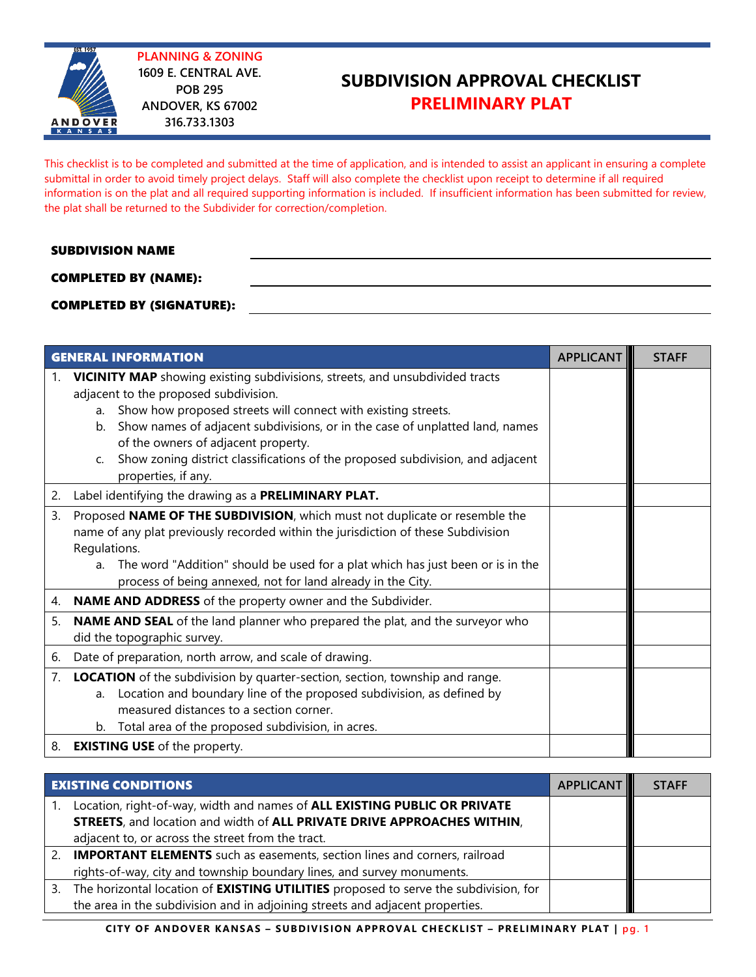

**PLANNING & ZONING 1609 E. CENTRAL AVE. POB 295 ANDOVER, KS 67002 316.733.1303**

# **SUBDIVISION APPROVAL CHECKLIST PRELIMINARY PLAT**

This checklist is to be completed and submitted at the time of application, and is intended to assist an applicant in ensuring a complete submittal in order to avoid timely project delays. Staff will also complete the checklist upon receipt to determine if all required information is on the plat and all required supporting information is included. If insufficient information has been submitted for review, the plat shall be returned to the Subdivider for correction/completion.

#### SUBDIVISION NAME

### COMPLETED BY (NAME):

#### COMPLETED BY (SIGNATURE):

| <b>GENERAL INFORMATION</b><br><b>APPLICANT</b> |                                                                                                                                                                                                                                                                                                                                                                                                                                                 |  | <b>STAFF</b> |
|------------------------------------------------|-------------------------------------------------------------------------------------------------------------------------------------------------------------------------------------------------------------------------------------------------------------------------------------------------------------------------------------------------------------------------------------------------------------------------------------------------|--|--------------|
| 1.                                             | <b>VICINITY MAP</b> showing existing subdivisions, streets, and unsubdivided tracts<br>adjacent to the proposed subdivision.<br>Show how proposed streets will connect with existing streets.<br>a.<br>Show names of adjacent subdivisions, or in the case of unplatted land, names<br>b.<br>of the owners of adjacent property.<br>Show zoning district classifications of the proposed subdivision, and adjacent<br>C.<br>properties, if any. |  |              |
| 2.                                             | Label identifying the drawing as a PRELIMINARY PLAT.                                                                                                                                                                                                                                                                                                                                                                                            |  |              |
| 3.                                             | Proposed NAME OF THE SUBDIVISION, which must not duplicate or resemble the<br>name of any plat previously recorded within the jurisdiction of these Subdivision<br>Regulations.<br>The word "Addition" should be used for a plat which has just been or is in the<br>a.<br>process of being annexed, not for land already in the City.                                                                                                          |  |              |
| 4.                                             | <b>NAME AND ADDRESS</b> of the property owner and the Subdivider.                                                                                                                                                                                                                                                                                                                                                                               |  |              |
| 5.                                             | NAME AND SEAL of the land planner who prepared the plat, and the surveyor who<br>did the topographic survey.                                                                                                                                                                                                                                                                                                                                    |  |              |
| 6.                                             | Date of preparation, north arrow, and scale of drawing.                                                                                                                                                                                                                                                                                                                                                                                         |  |              |
| 7.                                             | <b>LOCATION</b> of the subdivision by quarter-section, section, township and range.<br>Location and boundary line of the proposed subdivision, as defined by<br>a.<br>measured distances to a section corner.<br>Total area of the proposed subdivision, in acres.<br>b.                                                                                                                                                                        |  |              |
| 8.                                             | <b>EXISTING USE</b> of the property.                                                                                                                                                                                                                                                                                                                                                                                                            |  |              |

| <b>EXISTING CONDITIONS</b> |                                                                                                                                                      | <b>APPLICANT</b> | <b>STAFF</b> |
|----------------------------|------------------------------------------------------------------------------------------------------------------------------------------------------|------------------|--------------|
|                            | Location, right-of-way, width and names of ALL EXISTING PUBLIC OR PRIVATE<br>STREETS, and location and width of ALL PRIVATE DRIVE APPROACHES WITHIN, |                  |              |
|                            | adjacent to, or across the street from the tract.                                                                                                    |                  |              |
| 2.                         | <b>IMPORTANT ELEMENTS</b> such as easements, section lines and corners, railroad                                                                     |                  |              |
|                            | rights-of-way, city and township boundary lines, and survey monuments.                                                                               |                  |              |
| 3.                         | The horizontal location of <b>EXISTING UTILITIES</b> proposed to serve the subdivision, for                                                          |                  |              |
|                            | the area in the subdivision and in adjoining streets and adjacent properties.                                                                        |                  |              |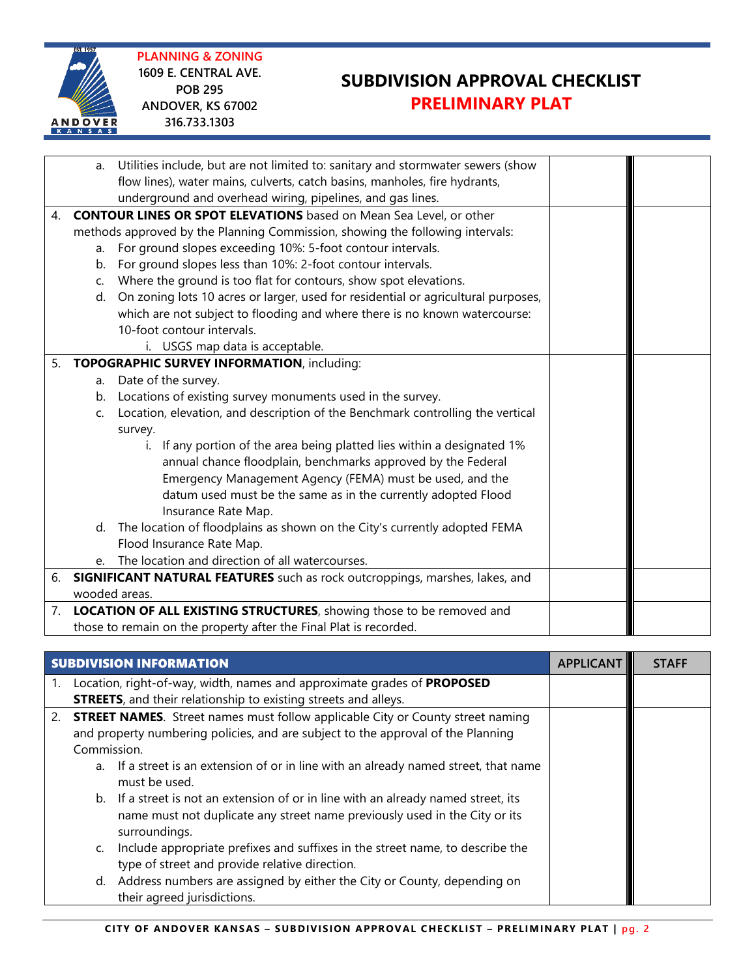**PLANNING & ZONING 1609 E. CENTRAL AVE. POB 295 ANDOVER, KS 67002 316.733.1303**

ANDOVER

# **SUBDIVISION APPROVAL CHECKLIST PRELIMINARY PLAT**

|    | a.                                                                            | Utilities include, but are not limited to: sanitary and stormwater sewers (show    |  |  |
|----|-------------------------------------------------------------------------------|------------------------------------------------------------------------------------|--|--|
|    |                                                                               | flow lines), water mains, culverts, catch basins, manholes, fire hydrants,         |  |  |
|    |                                                                               | underground and overhead wiring, pipelines, and gas lines.                         |  |  |
| 4. | <b>CONTOUR LINES OR SPOT ELEVATIONS</b> based on Mean Sea Level, or other     |                                                                                    |  |  |
|    | methods approved by the Planning Commission, showing the following intervals: |                                                                                    |  |  |
|    | a.                                                                            | For ground slopes exceeding 10%: 5-foot contour intervals.                         |  |  |
|    | b.                                                                            | For ground slopes less than 10%: 2-foot contour intervals.                         |  |  |
|    | C.                                                                            | Where the ground is too flat for contours, show spot elevations.                   |  |  |
|    | d.                                                                            | On zoning lots 10 acres or larger, used for residential or agricultural purposes,  |  |  |
|    |                                                                               | which are not subject to flooding and where there is no known watercourse:         |  |  |
|    |                                                                               | 10-foot contour intervals.                                                         |  |  |
|    |                                                                               | i. USGS map data is acceptable.                                                    |  |  |
| 5. | <b>TOPOGRAPHIC SURVEY INFORMATION, including:</b>                             |                                                                                    |  |  |
|    | a.                                                                            | Date of the survey.                                                                |  |  |
|    | b.                                                                            | Locations of existing survey monuments used in the survey.                         |  |  |
|    | C.                                                                            | Location, elevation, and description of the Benchmark controlling the vertical     |  |  |
|    |                                                                               | survey.                                                                            |  |  |
|    |                                                                               | If any portion of the area being platted lies within a designated 1%<br>i.         |  |  |
|    |                                                                               | annual chance floodplain, benchmarks approved by the Federal                       |  |  |
|    |                                                                               | Emergency Management Agency (FEMA) must be used, and the                           |  |  |
|    |                                                                               | datum used must be the same as in the currently adopted Flood                      |  |  |
|    |                                                                               | Insurance Rate Map.                                                                |  |  |
|    | d.                                                                            | The location of floodplains as shown on the City's currently adopted FEMA          |  |  |
|    |                                                                               | Flood Insurance Rate Map.                                                          |  |  |
|    | $e_{1}$                                                                       | The location and direction of all watercourses.                                    |  |  |
| 6. |                                                                               | <b>SIGNIFICANT NATURAL FEATURES</b> such as rock outcroppings, marshes, lakes, and |  |  |
|    |                                                                               | wooded areas.                                                                      |  |  |
| 7. |                                                                               | LOCATION OF ALL EXISTING STRUCTURES, showing those to be removed and               |  |  |
|    |                                                                               | those to remain on the property after the Final Plat is recorded.                  |  |  |

| <b>SUBDIVISION INFORMATION</b>                                                            |                                                                                                                                                                  | <b>APPLICANT</b> | <b>STAFF</b> |
|-------------------------------------------------------------------------------------------|------------------------------------------------------------------------------------------------------------------------------------------------------------------|------------------|--------------|
| Location, right-of-way, width, names and approximate grades of PROPOSED                   |                                                                                                                                                                  |                  |              |
| <b>STREETS</b> , and their relationship to existing streets and alleys.                   |                                                                                                                                                                  |                  |              |
| 2. <b>STREET NAMES</b> . Street names must follow applicable City or County street naming |                                                                                                                                                                  |                  |              |
| and property numbering policies, and are subject to the approval of the Planning          |                                                                                                                                                                  |                  |              |
| Commission.                                                                               |                                                                                                                                                                  |                  |              |
| a.<br>must be used.                                                                       | If a street is an extension of or in line with an already named street, that name                                                                                |                  |              |
| surroundings.                                                                             | b. If a street is not an extension of or in line with an already named street, its<br>name must not duplicate any street name previously used in the City or its |                  |              |
| C.<br>type of street and provide relative direction.                                      | Include appropriate prefixes and suffixes in the street name, to describe the                                                                                    |                  |              |
| d.<br>their agreed jurisdictions.                                                         | Address numbers are assigned by either the City or County, depending on                                                                                          |                  |              |